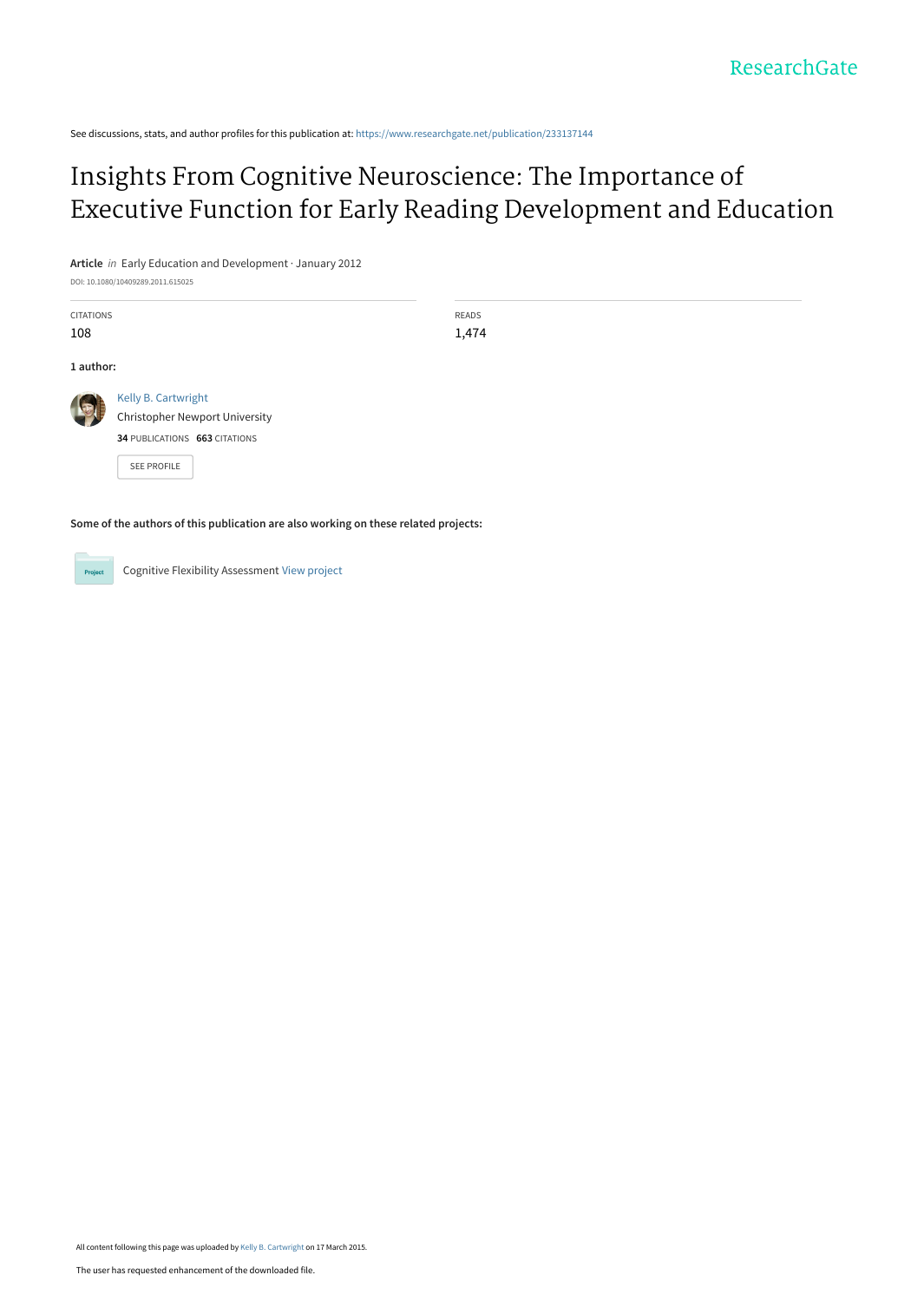See discussions, stats, and author profiles for this publication at: [https://www.researchgate.net/publication/233137144](https://www.researchgate.net/publication/233137144_Insights_From_Cognitive_Neuroscience_The_Importance_of_Executive_Function_for_Early_Reading_Development_and_Education?enrichId=rgreq-32366b06946f6ec13a228e2484c9f92a-XXX&enrichSource=Y292ZXJQYWdlOzIzMzEzNzE0NDtBUzoyMDgwMzA3NTE4MjU5MjhAMTQyNjYwOTgwNDkyNw%3D%3D&el=1_x_2&_esc=publicationCoverPdf)

## Insights From Cognitive Neuroscience: The Importance of [Executive Function for Early Reading Development and Education](https://www.researchgate.net/publication/233137144_Insights_From_Cognitive_Neuroscience_The_Importance_of_Executive_Function_for_Early_Reading_Development_and_Education?enrichId=rgreq-32366b06946f6ec13a228e2484c9f92a-XXX&enrichSource=Y292ZXJQYWdlOzIzMzEzNzE0NDtBUzoyMDgwMzA3NTE4MjU5MjhAMTQyNjYwOTgwNDkyNw%3D%3D&el=1_x_3&_esc=publicationCoverPdf)

**Article** in Early Education and Development · January 2012 DOI: 10.1080/10409289.2011.615025

CITATIONS 108

READS 1,474

**1 author:**



[Christopher Newport University](https://www.researchgate.net/institution/Christopher_Newport_University?enrichId=rgreq-32366b06946f6ec13a228e2484c9f92a-XXX&enrichSource=Y292ZXJQYWdlOzIzMzEzNzE0NDtBUzoyMDgwMzA3NTE4MjU5MjhAMTQyNjYwOTgwNDkyNw%3D%3D&el=1_x_6&_esc=publicationCoverPdf) **34** PUBLICATIONS **663** CITATIONS

[SEE PROFILE](https://www.researchgate.net/profile/Kelly_Cartwright?enrichId=rgreq-32366b06946f6ec13a228e2484c9f92a-XXX&enrichSource=Y292ZXJQYWdlOzIzMzEzNzE0NDtBUzoyMDgwMzA3NTE4MjU5MjhAMTQyNjYwOTgwNDkyNw%3D%3D&el=1_x_7&_esc=publicationCoverPdf)

[Kelly B. Cartwright](https://www.researchgate.net/profile/Kelly_Cartwright?enrichId=rgreq-32366b06946f6ec13a228e2484c9f92a-XXX&enrichSource=Y292ZXJQYWdlOzIzMzEzNzE0NDtBUzoyMDgwMzA3NTE4MjU5MjhAMTQyNjYwOTgwNDkyNw%3D%3D&el=1_x_5&_esc=publicationCoverPdf)

**Some of the authors of this publication are also working on these related projects:**



Cognitive Flexibility Assessment [View project](https://www.researchgate.net/project/Cognitive-Flexibility-Assessment?enrichId=rgreq-32366b06946f6ec13a228e2484c9f92a-XXX&enrichSource=Y292ZXJQYWdlOzIzMzEzNzE0NDtBUzoyMDgwMzA3NTE4MjU5MjhAMTQyNjYwOTgwNDkyNw%3D%3D&el=1_x_9&_esc=publicationCoverPdf)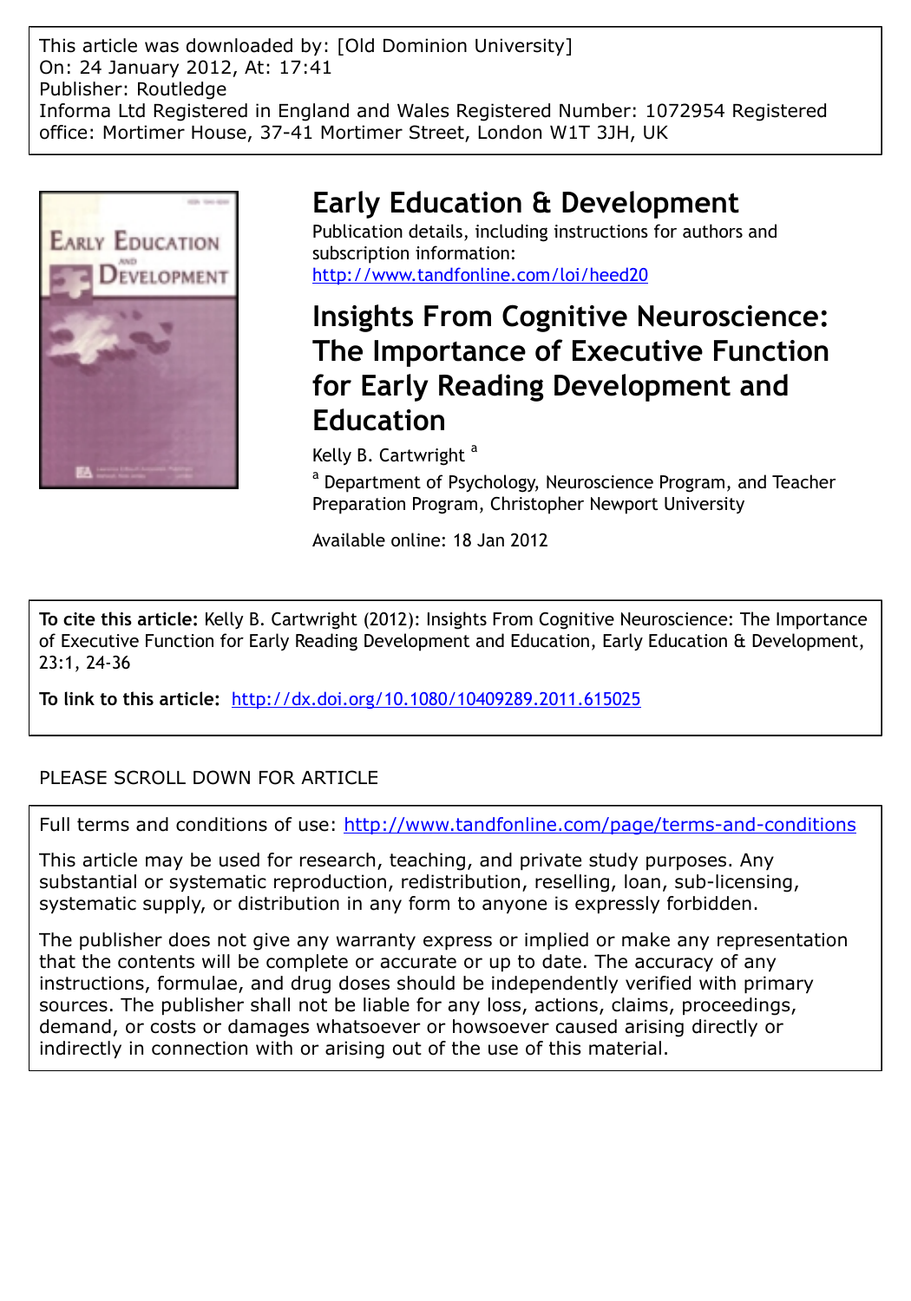This article was downloaded by: [Old Dominion University] On: 24 January 2012, At: 17:41 Publisher: Routledge Informa Ltd Registered in England and Wales Registered Number: 1072954 Registered office: Mortimer House, 37-41 Mortimer Street, London W1T 3JH, UK



# **Early Education & Development**

Publication details, including instructions for authors and subscription information: <http://www.tandfonline.com/loi/heed20>

# **Insights From Cognitive Neuroscience: The Importance of Executive Function for Early Reading Development and Education**

Kelly B. Cartwright<sup>a</sup>

<sup>a</sup> Department of Psychology, Neuroscience Program, and Teacher Preparation Program, Christopher Newport University

Available online: 18 Jan 2012

**To cite this article:** Kelly B. Cartwright (2012): Insights From Cognitive Neuroscience: The Importance of Executive Function for Early Reading Development and Education, Early Education & Development, 23:1, 24-36

**To link to this article:** <http://dx.doi.org/10.1080/10409289.2011.615025>

### PLEASE SCROLL DOWN FOR ARTICLE

Full terms and conditions of use:<http://www.tandfonline.com/page/terms-and-conditions>

This article may be used for research, teaching, and private study purposes. Any substantial or systematic reproduction, redistribution, reselling, loan, sub-licensing, systematic supply, or distribution in any form to anyone is expressly forbidden.

The publisher does not give any warranty express or implied or make any representation that the contents will be complete or accurate or up to date. The accuracy of any instructions, formulae, and drug doses should be independently verified with primary sources. The publisher shall not be liable for any loss, actions, claims, proceedings, demand, or costs or damages whatsoever or howsoever caused arising directly or indirectly in connection with or arising out of the use of this material.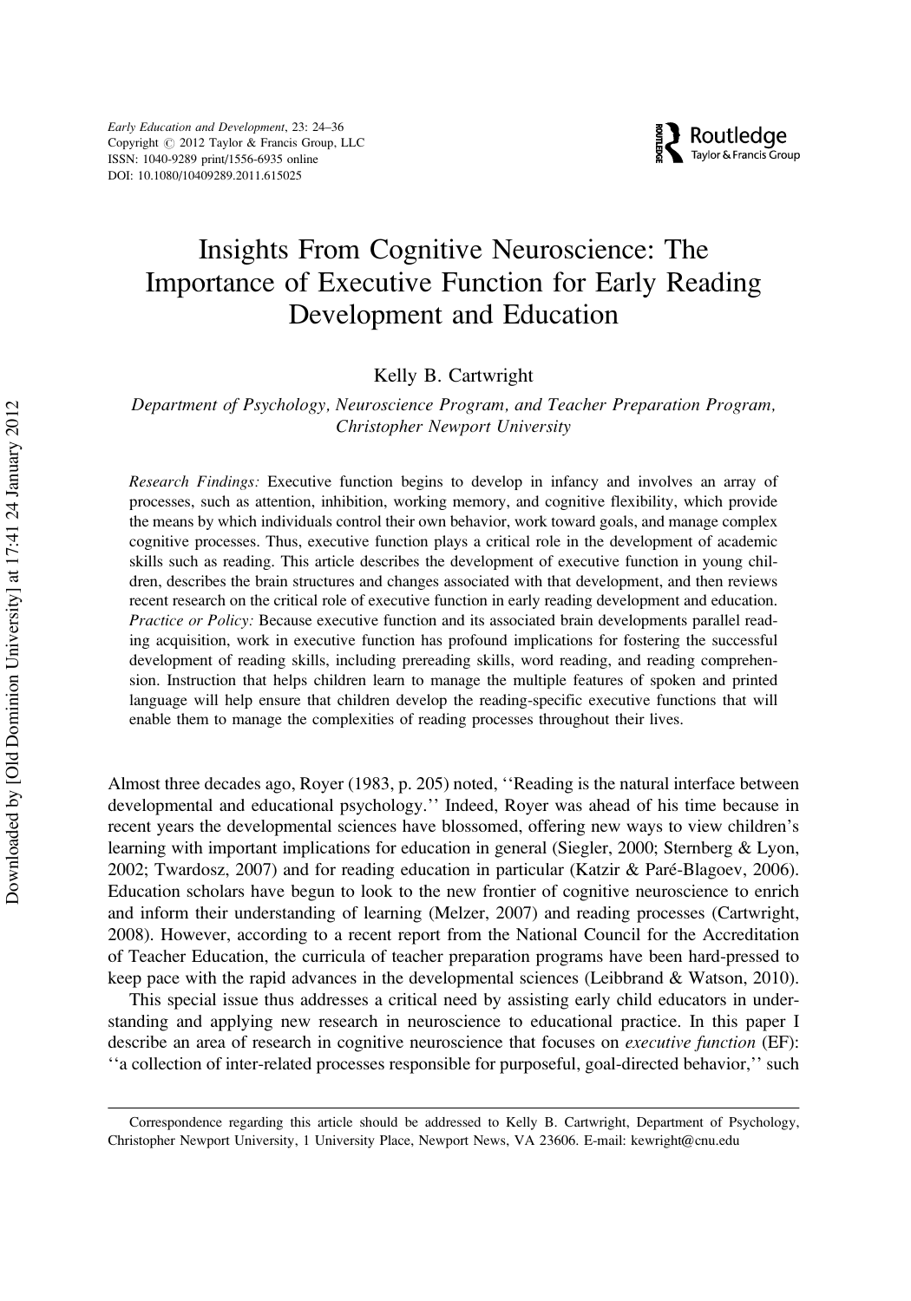

### Insights From Cognitive Neuroscience: The Importance of Executive Function for Early Reading Development and Education

Kelly B. Cartwright

Department of Psychology, Neuroscience Program, and Teacher Preparation Program, Christopher Newport University

Research Findings: Executive function begins to develop in infancy and involves an array of processes, such as attention, inhibition, working memory, and cognitive flexibility, which provide the means by which individuals control their own behavior, work toward goals, and manage complex cognitive processes. Thus, executive function plays a critical role in the development of academic skills such as reading. This article describes the development of executive function in young children, describes the brain structures and changes associated with that development, and then reviews recent research on the critical role of executive function in early reading development and education. Practice or Policy: Because executive function and its associated brain developments parallel reading acquisition, work in executive function has profound implications for fostering the successful development of reading skills, including prereading skills, word reading, and reading comprehension. Instruction that helps children learn to manage the multiple features of spoken and printed language will help ensure that children develop the reading-specific executive functions that will enable them to manage the complexities of reading processes throughout their lives.

Almost three decades ago, Royer (1983, p. 205) noted, ''Reading is the natural interface between developmental and educational psychology.'' Indeed, Royer was ahead of his time because in recent years the developmental sciences have blossomed, offering new ways to view children's learning with important implications for education in general (Siegler, 2000; Sternberg & Lyon, 2002; Twardosz, 2007) and for reading education in particular (Katzir & Pare´-Blagoev, 2006). Education scholars have begun to look to the new frontier of cognitive neuroscience to enrich and inform their understanding of learning (Melzer, 2007) and reading processes (Cartwright, 2008). However, according to a recent report from the National Council for the Accreditation of Teacher Education, the curricula of teacher preparation programs have been hard-pressed to keep pace with the rapid advances in the developmental sciences (Leibbrand & Watson, 2010).

This special issue thus addresses a critical need by assisting early child educators in understanding and applying new research in neuroscience to educational practice. In this paper I describe an area of research in cognitive neuroscience that focuses on *executive function* (EF): ''a collection of inter-related processes responsible for purposeful, goal-directed behavior,'' such

Correspondence regarding this article should be addressed to Kelly B. Cartwright, Department of Psychology, Christopher Newport University, 1 University Place, Newport News, VA 23606. E-mail: kewright@cnu.edu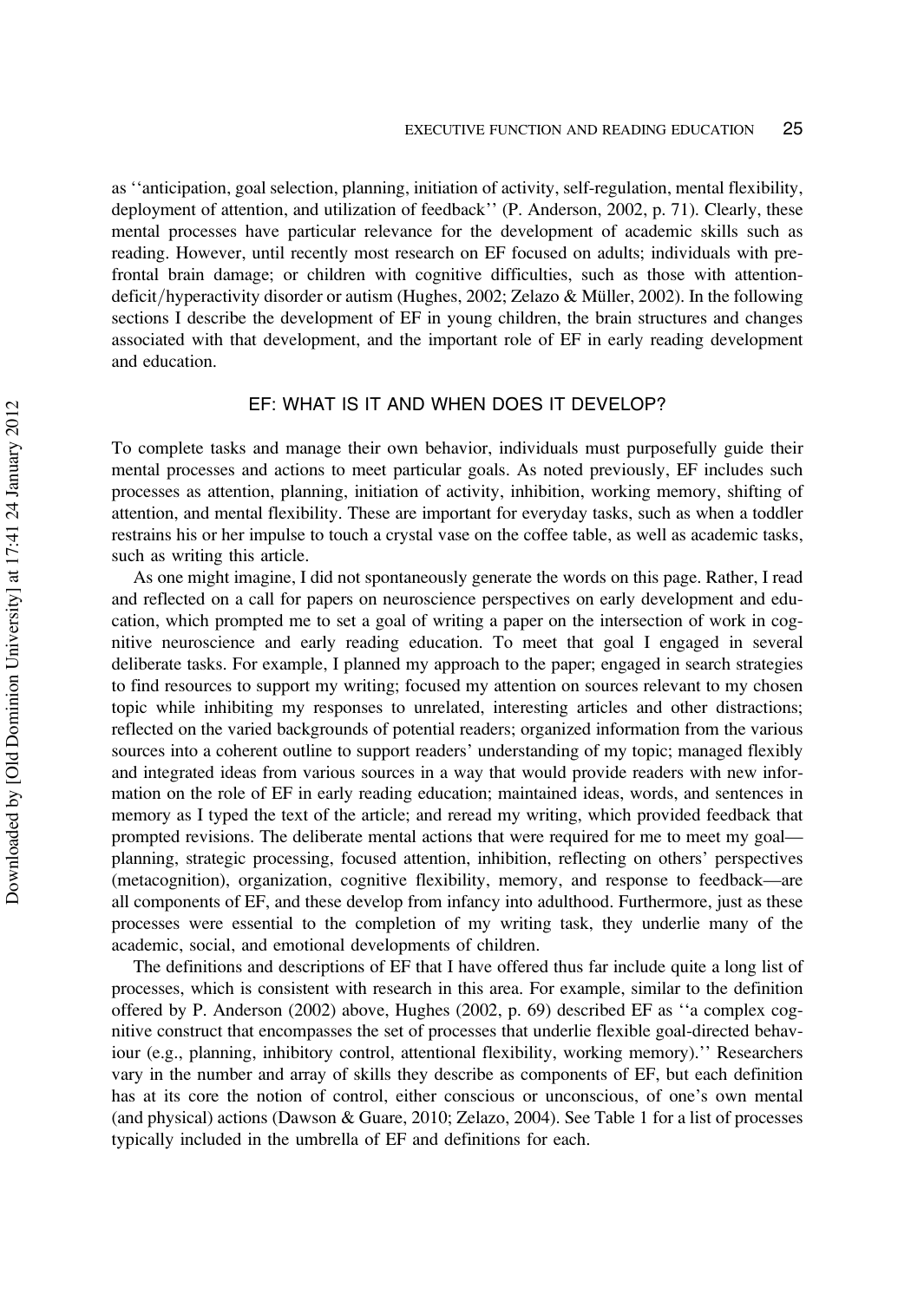as ''anticipation, goal selection, planning, initiation of activity, self-regulation, mental flexibility, deployment of attention, and utilization of feedback'' (P. Anderson, 2002, p. 71). Clearly, these mental processes have particular relevance for the development of academic skills such as reading. However, until recently most research on EF focused on adults; individuals with prefrontal brain damage; or children with cognitive difficulties, such as those with attentiondeficit/hyperactivity disorder or autism (Hughes, 2002; Zelazo & Müller, 2002). In the following sections I describe the development of EF in young children, the brain structures and changes associated with that development, and the important role of EF in early reading development and education.

#### EF: WHAT IS IT AND WHEN DOES IT DEVELOP?

To complete tasks and manage their own behavior, individuals must purposefully guide their mental processes and actions to meet particular goals. As noted previously, EF includes such processes as attention, planning, initiation of activity, inhibition, working memory, shifting of attention, and mental flexibility. These are important for everyday tasks, such as when a toddler restrains his or her impulse to touch a crystal vase on the coffee table, as well as academic tasks, such as writing this article.

As one might imagine, I did not spontaneously generate the words on this page. Rather, I read and reflected on a call for papers on neuroscience perspectives on early development and education, which prompted me to set a goal of writing a paper on the intersection of work in cognitive neuroscience and early reading education. To meet that goal I engaged in several deliberate tasks. For example, I planned my approach to the paper; engaged in search strategies to find resources to support my writing; focused my attention on sources relevant to my chosen topic while inhibiting my responses to unrelated, interesting articles and other distractions; reflected on the varied backgrounds of potential readers; organized information from the various sources into a coherent outline to support readers' understanding of my topic; managed flexibly and integrated ideas from various sources in a way that would provide readers with new information on the role of EF in early reading education; maintained ideas, words, and sentences in memory as I typed the text of the article; and reread my writing, which provided feedback that prompted revisions. The deliberate mental actions that were required for me to meet my goal planning, strategic processing, focused attention, inhibition, reflecting on others' perspectives (metacognition), organization, cognitive flexibility, memory, and response to feedback—are all components of EF, and these develop from infancy into adulthood. Furthermore, just as these processes were essential to the completion of my writing task, they underlie many of the academic, social, and emotional developments of children.

The definitions and descriptions of EF that I have offered thus far include quite a long list of processes, which is consistent with research in this area. For example, similar to the definition offered by P. Anderson (2002) above, Hughes (2002, p. 69) described EF as ''a complex cognitive construct that encompasses the set of processes that underlie flexible goal-directed behaviour (e.g., planning, inhibitory control, attentional flexibility, working memory).'' Researchers vary in the number and array of skills they describe as components of EF, but each definition has at its core the notion of control, either conscious or unconscious, of one's own mental (and physical) actions (Dawson & Guare, 2010; Zelazo, 2004). See Table 1 for a list of processes typically included in the umbrella of EF and definitions for each.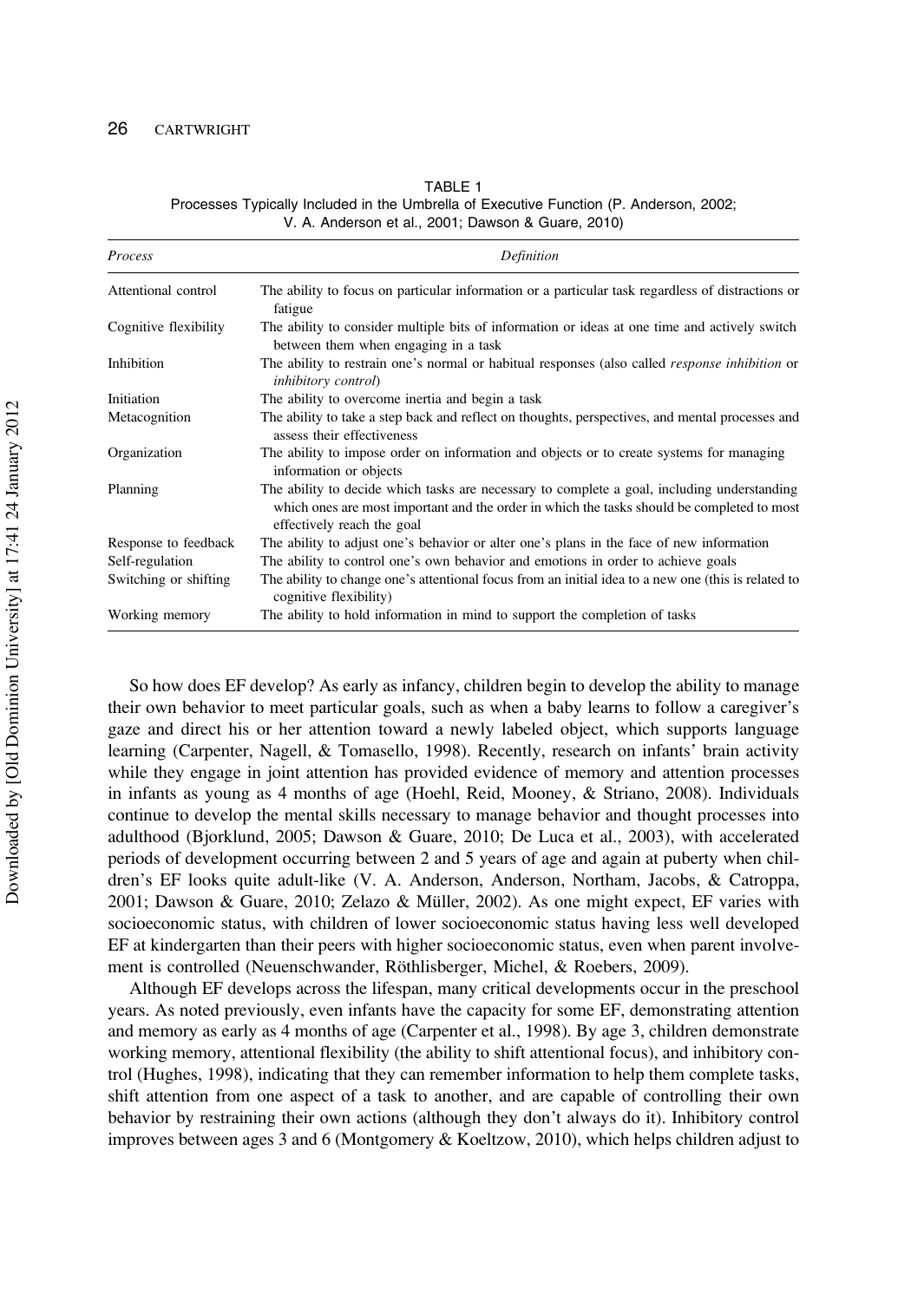| Process               | Definition                                                                                                                                                                                                              |
|-----------------------|-------------------------------------------------------------------------------------------------------------------------------------------------------------------------------------------------------------------------|
| Attentional control   | The ability to focus on particular information or a particular task regardless of distractions or<br>fatigue                                                                                                            |
| Cognitive flexibility | The ability to consider multiple bits of information or ideas at one time and actively switch<br>between them when engaging in a task                                                                                   |
| Inhibition            | The ability to restrain one's normal or habitual responses (also called <i>response inhibition</i> or<br><i>inhibitory control)</i>                                                                                     |
| Initiation            | The ability to overcome inertia and begin a task                                                                                                                                                                        |
| Metacognition         | The ability to take a step back and reflect on thoughts, perspectives, and mental processes and<br>assess their effectiveness                                                                                           |
| Organization          | The ability to impose order on information and objects or to create systems for managing<br>information or objects                                                                                                      |
| Planning              | The ability to decide which tasks are necessary to complete a goal, including understanding<br>which ones are most important and the order in which the tasks should be completed to most<br>effectively reach the goal |
| Response to feedback  | The ability to adjust one's behavior or alter one's plans in the face of new information                                                                                                                                |
| Self-regulation       | The ability to control one's own behavior and emotions in order to achieve goals                                                                                                                                        |
| Switching or shifting | The ability to change one's attentional focus from an initial idea to a new one (this is related to<br>cognitive flexibility)                                                                                           |
| Working memory        | The ability to hold information in mind to support the completion of tasks                                                                                                                                              |

TABLE 1 Processes Typically Included in the Umbrella of Executive Function (P. Anderson, 2002; V. A. Anderson et al., 2001; Dawson & Guare, 2010)

So how does EF develop? As early as infancy, children begin to develop the ability to manage their own behavior to meet particular goals, such as when a baby learns to follow a caregiver's gaze and direct his or her attention toward a newly labeled object, which supports language learning (Carpenter, Nagell, & Tomasello, 1998). Recently, research on infants' brain activity while they engage in joint attention has provided evidence of memory and attention processes in infants as young as 4 months of age (Hoehl, Reid, Mooney, & Striano, 2008). Individuals continue to develop the mental skills necessary to manage behavior and thought processes into adulthood (Bjorklund, 2005; Dawson & Guare, 2010; De Luca et al., 2003), with accelerated periods of development occurring between 2 and 5 years of age and again at puberty when children's EF looks quite adult-like (V. A. Anderson, Anderson, Northam, Jacobs, & Catroppa, 2001; Dawson & Guare, 2010; Zelazo & Müller, 2002). As one might expect, EF varies with socioeconomic status, with children of lower socioeconomic status having less well developed EF at kindergarten than their peers with higher socioeconomic status, even when parent involvement is controlled (Neuenschwander, Röthlisberger, Michel, & Roebers, 2009).

Although EF develops across the lifespan, many critical developments occur in the preschool years. As noted previously, even infants have the capacity for some EF, demonstrating attention and memory as early as 4 months of age (Carpenter et al., 1998). By age 3, children demonstrate working memory, attentional flexibility (the ability to shift attentional focus), and inhibitory control (Hughes, 1998), indicating that they can remember information to help them complete tasks, shift attention from one aspect of a task to another, and are capable of controlling their own behavior by restraining their own actions (although they don't always do it). Inhibitory control improves between ages 3 and 6 (Montgomery & Koeltzow, 2010), which helps children adjust to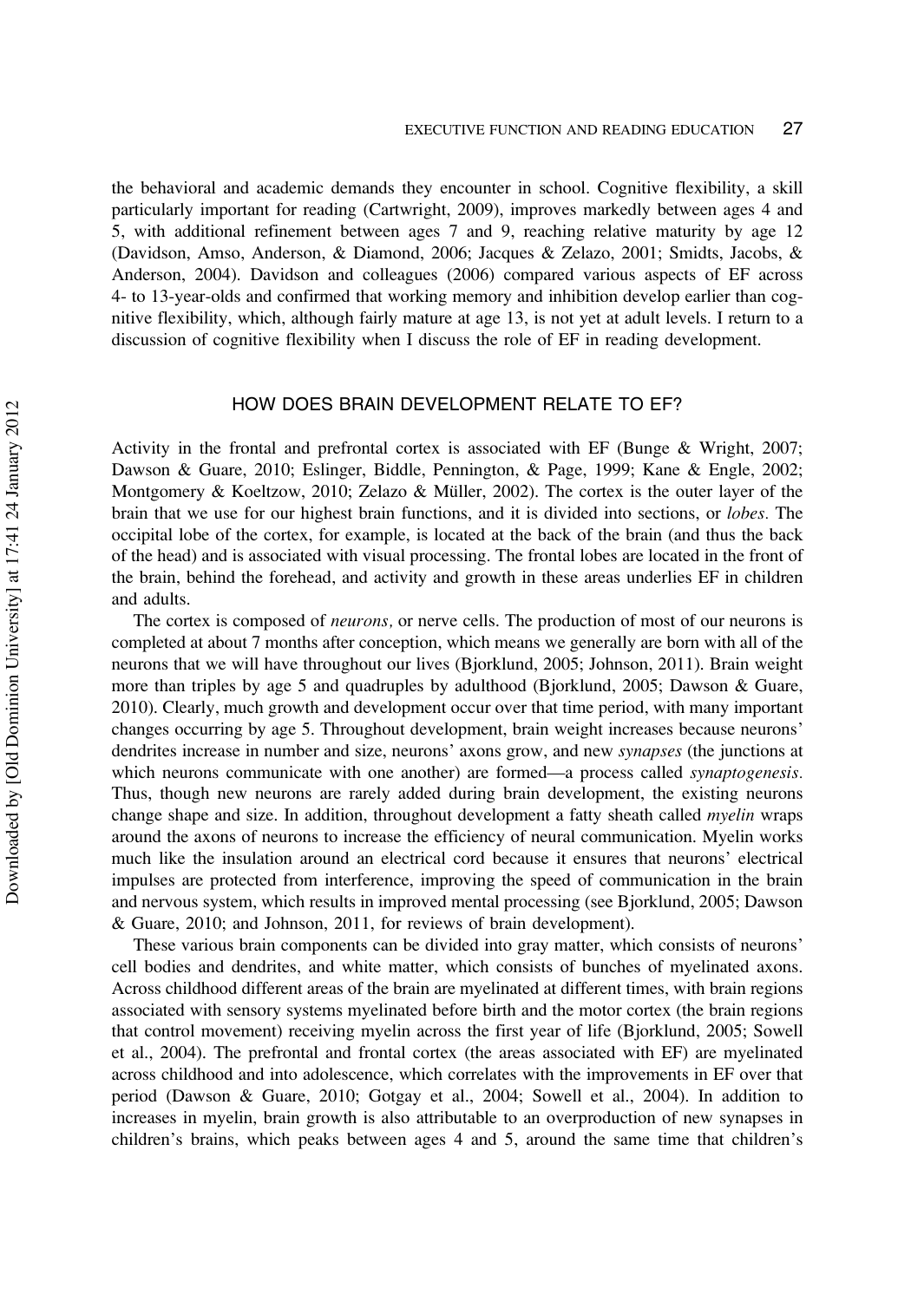the behavioral and academic demands they encounter in school. Cognitive flexibility, a skill particularly important for reading (Cartwright, 2009), improves markedly between ages 4 and 5, with additional refinement between ages 7 and 9, reaching relative maturity by age 12 (Davidson, Amso, Anderson, & Diamond, 2006; Jacques & Zelazo, 2001; Smidts, Jacobs, & Anderson, 2004). Davidson and colleagues (2006) compared various aspects of EF across 4- to 13-year-olds and confirmed that working memory and inhibition develop earlier than cognitive flexibility, which, although fairly mature at age 13, is not yet at adult levels. I return to a discussion of cognitive flexibility when I discuss the role of EF in reading development.

#### HOW DOES BRAIN DEVELOPMENT RELATE TO EF?

Activity in the frontal and prefrontal cortex is associated with EF (Bunge & Wright, 2007; Dawson & Guare, 2010; Eslinger, Biddle, Pennington, & Page, 1999; Kane & Engle, 2002; Montgomery & Koeltzow, 2010; Zelazo & Müller, 2002). The cortex is the outer layer of the brain that we use for our highest brain functions, and it is divided into sections, or lobes. The occipital lobe of the cortex, for example, is located at the back of the brain (and thus the back of the head) and is associated with visual processing. The frontal lobes are located in the front of the brain, behind the forehead, and activity and growth in these areas underlies EF in children and adults.

The cortex is composed of *neurons*, or nerve cells. The production of most of our neurons is completed at about 7 months after conception, which means we generally are born with all of the neurons that we will have throughout our lives (Bjorklund, 2005; Johnson, 2011). Brain weight more than triples by age 5 and quadruples by adulthood (Bjorklund, 2005; Dawson & Guare, 2010). Clearly, much growth and development occur over that time period, with many important changes occurring by age 5. Throughout development, brain weight increases because neurons' dendrites increase in number and size, neurons' axons grow, and new *synapses* (the junctions at which neurons communicate with one another) are formed—a process called *synaptogenesis*. Thus, though new neurons are rarely added during brain development, the existing neurons change shape and size. In addition, throughout development a fatty sheath called *myelin* wraps around the axons of neurons to increase the efficiency of neural communication. Myelin works much like the insulation around an electrical cord because it ensures that neurons' electrical impulses are protected from interference, improving the speed of communication in the brain and nervous system, which results in improved mental processing (see Bjorklund, 2005; Dawson & Guare, 2010; and Johnson, 2011, for reviews of brain development).

These various brain components can be divided into gray matter, which consists of neurons' cell bodies and dendrites, and white matter, which consists of bunches of myelinated axons. Across childhood different areas of the brain are myelinated at different times, with brain regions associated with sensory systems myelinated before birth and the motor cortex (the brain regions that control movement) receiving myelin across the first year of life (Bjorklund, 2005; Sowell et al., 2004). The prefrontal and frontal cortex (the areas associated with EF) are myelinated across childhood and into adolescence, which correlates with the improvements in EF over that period (Dawson & Guare, 2010; Gotgay et al., 2004; Sowell et al., 2004). In addition to increases in myelin, brain growth is also attributable to an overproduction of new synapses in children's brains, which peaks between ages 4 and 5, around the same time that children's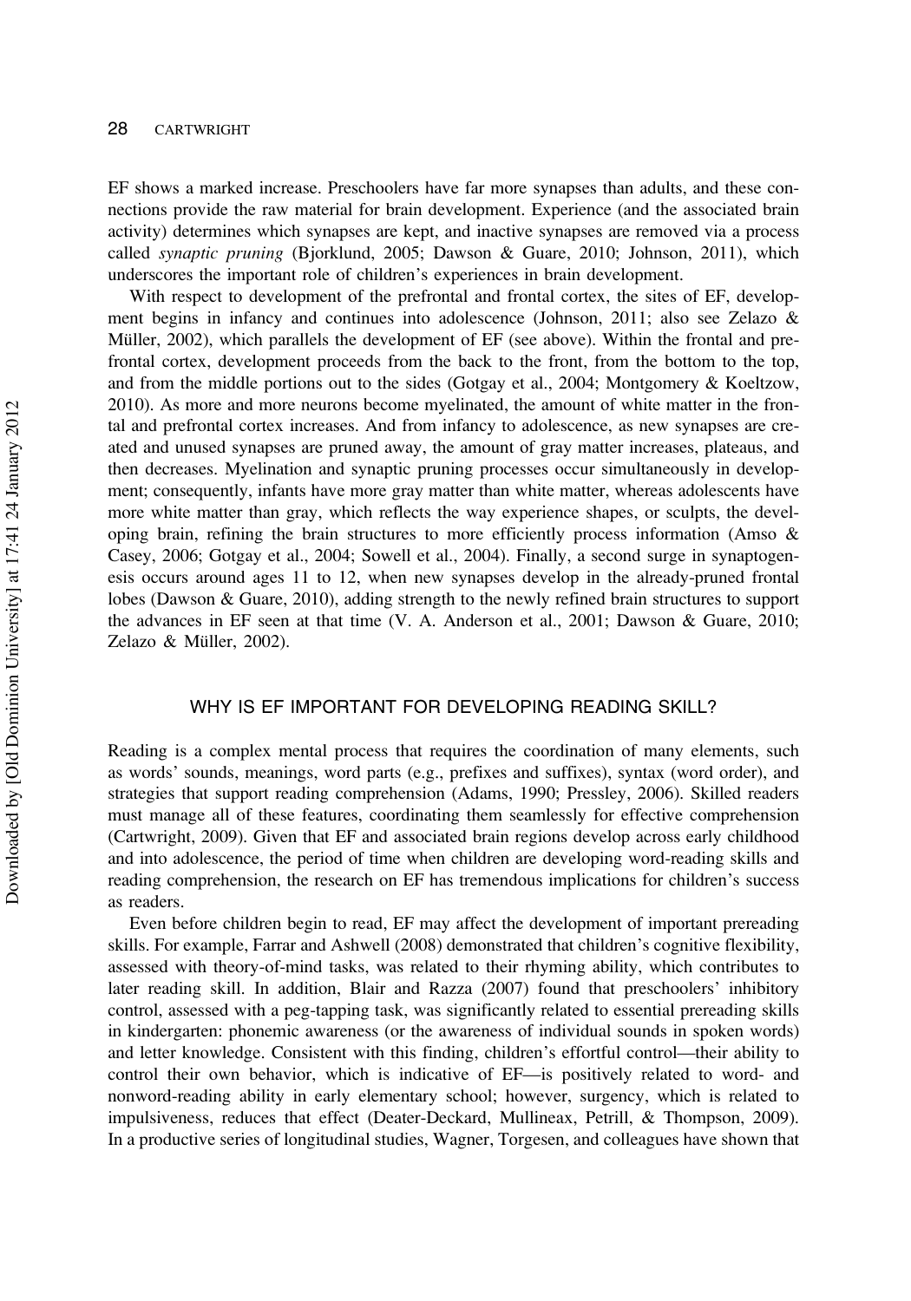EF shows a marked increase. Preschoolers have far more synapses than adults, and these connections provide the raw material for brain development. Experience (and the associated brain activity) determines which synapses are kept, and inactive synapses are removed via a process called synaptic pruning (Bjorklund, 2005; Dawson & Guare, 2010; Johnson, 2011), which underscores the important role of children's experiences in brain development.

With respect to development of the prefrontal and frontal cortex, the sites of EF, development begins in infancy and continues into adolescence (Johnson, 2011; also see Zelazo & Müller, 2002), which parallels the development of EF (see above). Within the frontal and prefrontal cortex, development proceeds from the back to the front, from the bottom to the top, and from the middle portions out to the sides (Gotgay et al., 2004; Montgomery & Koeltzow, 2010). As more and more neurons become myelinated, the amount of white matter in the frontal and prefrontal cortex increases. And from infancy to adolescence, as new synapses are created and unused synapses are pruned away, the amount of gray matter increases, plateaus, and then decreases. Myelination and synaptic pruning processes occur simultaneously in development; consequently, infants have more gray matter than white matter, whereas adolescents have more white matter than gray, which reflects the way experience shapes, or sculpts, the developing brain, refining the brain structures to more efficiently process information (Amso & Casey, 2006; Gotgay et al., 2004; Sowell et al., 2004). Finally, a second surge in synaptogenesis occurs around ages 11 to 12, when new synapses develop in the already-pruned frontal lobes (Dawson & Guare, 2010), adding strength to the newly refined brain structures to support the advances in EF seen at that time (V. A. Anderson et al., 2001; Dawson & Guare, 2010; Zelazo  $&$  Müller, 2002).

#### WHY IS EF IMPORTANT FOR DEVELOPING READING SKILL?

Reading is a complex mental process that requires the coordination of many elements, such as words' sounds, meanings, word parts (e.g., prefixes and suffixes), syntax (word order), and strategies that support reading comprehension (Adams, 1990; Pressley, 2006). Skilled readers must manage all of these features, coordinating them seamlessly for effective comprehension (Cartwright, 2009). Given that EF and associated brain regions develop across early childhood and into adolescence, the period of time when children are developing word-reading skills and reading comprehension, the research on EF has tremendous implications for children's success as readers.

Even before children begin to read, EF may affect the development of important prereading skills. For example, Farrar and Ashwell (2008) demonstrated that children's cognitive flexibility, assessed with theory-of-mind tasks, was related to their rhyming ability, which contributes to later reading skill. In addition, Blair and Razza (2007) found that preschoolers' inhibitory control, assessed with a peg-tapping task, was significantly related to essential prereading skills in kindergarten: phonemic awareness (or the awareness of individual sounds in spoken words) and letter knowledge. Consistent with this finding, children's effortful control—their ability to control their own behavior, which is indicative of EF—is positively related to word- and nonword-reading ability in early elementary school; however, surgency, which is related to impulsiveness, reduces that effect (Deater-Deckard, Mullineax, Petrill, & Thompson, 2009). In a productive series of longitudinal studies, Wagner, Torgesen, and colleagues have shown that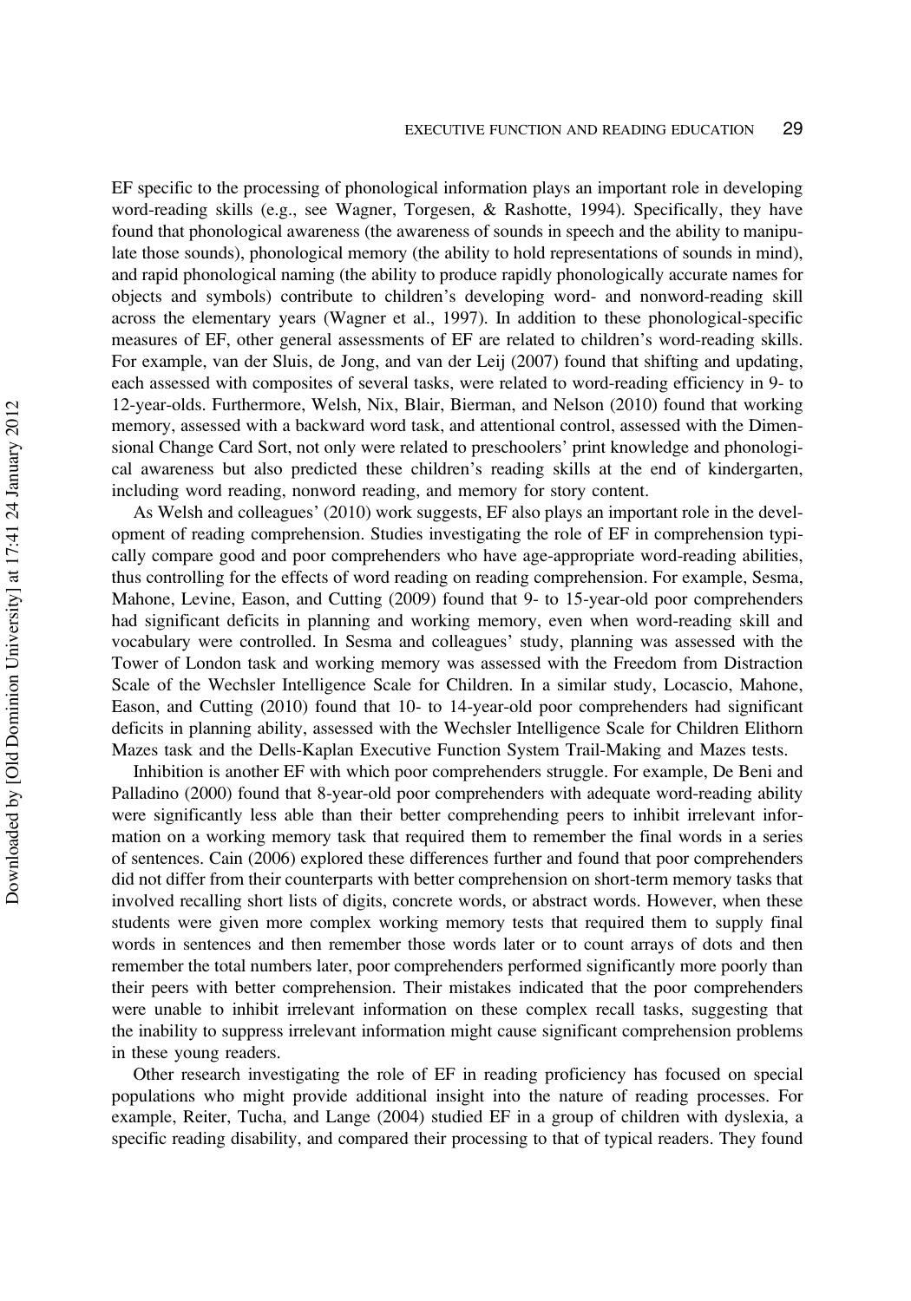EF specific to the processing of phonological information plays an important role in developing word-reading skills (e.g., see Wagner, Torgesen, & Rashotte, 1994). Specifically, they have found that phonological awareness (the awareness of sounds in speech and the ability to manipulate those sounds), phonological memory (the ability to hold representations of sounds in mind), and rapid phonological naming (the ability to produce rapidly phonologically accurate names for objects and symbols) contribute to children's developing word- and nonword-reading skill across the elementary years (Wagner et al., 1997). In addition to these phonological-specific measures of EF, other general assessments of EF are related to children's word-reading skills. For example, van der Sluis, de Jong, and van der Leij (2007) found that shifting and updating, each assessed with composites of several tasks, were related to word-reading efficiency in 9- to 12-year-olds. Furthermore, Welsh, Nix, Blair, Bierman, and Nelson (2010) found that working memory, assessed with a backward word task, and attentional control, assessed with the Dimensional Change Card Sort, not only were related to preschoolers' print knowledge and phonological awareness but also predicted these children's reading skills at the end of kindergarten, including word reading, nonword reading, and memory for story content.

As Welsh and colleagues' (2010) work suggests, EF also plays an important role in the development of reading comprehension. Studies investigating the role of EF in comprehension typically compare good and poor comprehenders who have age-appropriate word-reading abilities, thus controlling for the effects of word reading on reading comprehension. For example, Sesma, Mahone, Levine, Eason, and Cutting (2009) found that 9- to 15-year-old poor comprehenders had significant deficits in planning and working memory, even when word-reading skill and vocabulary were controlled. In Sesma and colleagues' study, planning was assessed with the Tower of London task and working memory was assessed with the Freedom from Distraction Scale of the Wechsler Intelligence Scale for Children. In a similar study, Locascio, Mahone, Eason, and Cutting (2010) found that 10- to 14-year-old poor comprehenders had significant deficits in planning ability, assessed with the Wechsler Intelligence Scale for Children Elithorn Mazes task and the Dells-Kaplan Executive Function System Trail-Making and Mazes tests.

Inhibition is another EF with which poor comprehenders struggle. For example, De Beni and Palladino (2000) found that 8-year-old poor comprehenders with adequate word-reading ability were significantly less able than their better comprehending peers to inhibit irrelevant information on a working memory task that required them to remember the final words in a series of sentences. Cain (2006) explored these differences further and found that poor comprehenders did not differ from their counterparts with better comprehension on short-term memory tasks that involved recalling short lists of digits, concrete words, or abstract words. However, when these students were given more complex working memory tests that required them to supply final words in sentences and then remember those words later or to count arrays of dots and then remember the total numbers later, poor comprehenders performed significantly more poorly than their peers with better comprehension. Their mistakes indicated that the poor comprehenders were unable to inhibit irrelevant information on these complex recall tasks, suggesting that the inability to suppress irrelevant information might cause significant comprehension problems in these young readers.

Other research investigating the role of EF in reading proficiency has focused on special populations who might provide additional insight into the nature of reading processes. For example, Reiter, Tucha, and Lange (2004) studied EF in a group of children with dyslexia, a specific reading disability, and compared their processing to that of typical readers. They found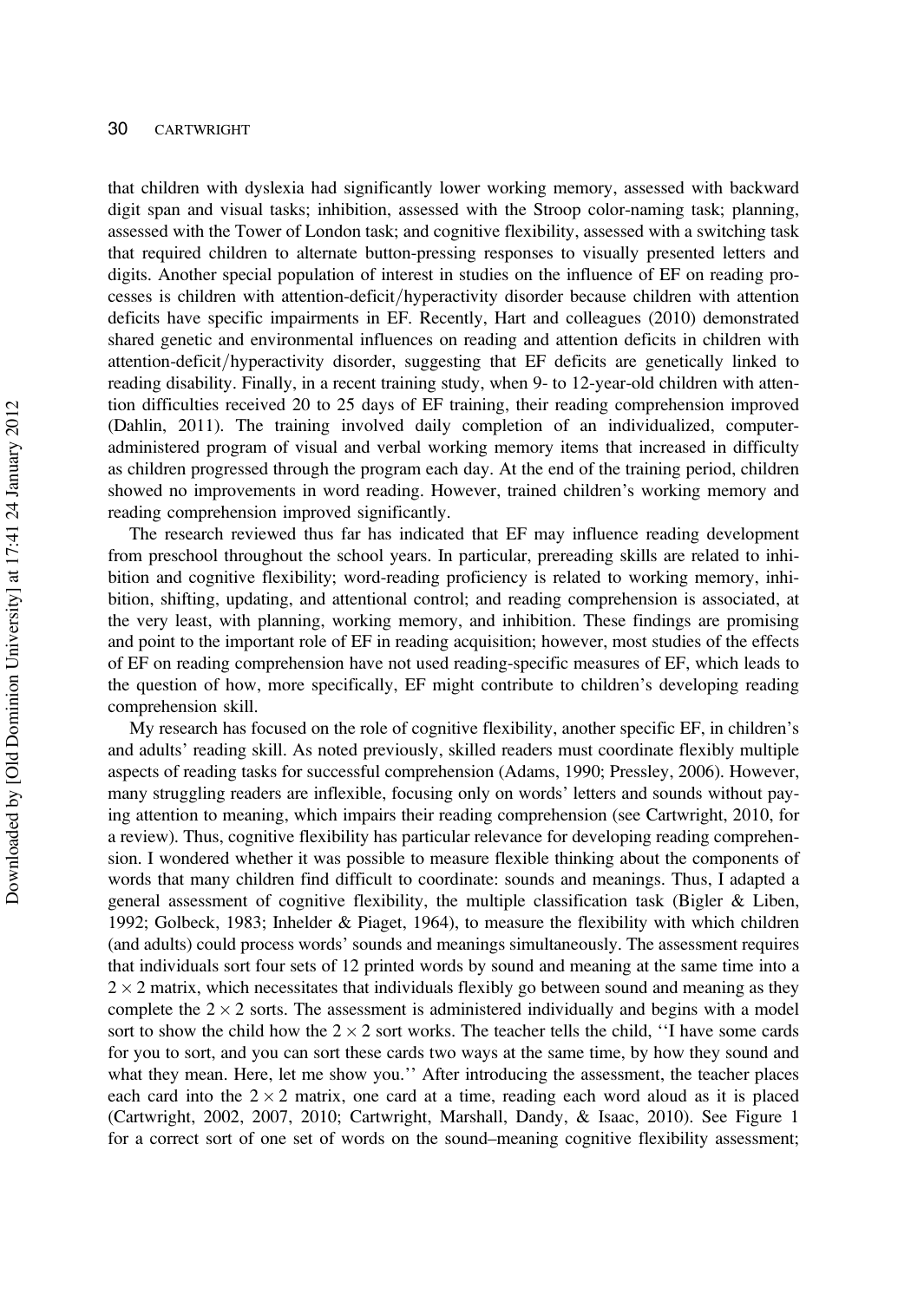that children with dyslexia had significantly lower working memory, assessed with backward digit span and visual tasks; inhibition, assessed with the Stroop color-naming task; planning, assessed with the Tower of London task; and cognitive flexibility, assessed with a switching task that required children to alternate button-pressing responses to visually presented letters and digits. Another special population of interest in studies on the influence of EF on reading processes is children with attention-deficit/hyperactivity disorder because children with attention deficits have specific impairments in EF. Recently, Hart and colleagues (2010) demonstrated shared genetic and environmental influences on reading and attention deficits in children with attention-deficit/hyperactivity disorder, suggesting that EF deficits are genetically linked to reading disability. Finally, in a recent training study, when 9- to 12-year-old children with attention difficulties received 20 to 25 days of EF training, their reading comprehension improved (Dahlin, 2011). The training involved daily completion of an individualized, computeradministered program of visual and verbal working memory items that increased in difficulty as children progressed through the program each day. At the end of the training period, children showed no improvements in word reading. However, trained children's working memory and reading comprehension improved significantly.

The research reviewed thus far has indicated that EF may influence reading development from preschool throughout the school years. In particular, prereading skills are related to inhibition and cognitive flexibility; word-reading proficiency is related to working memory, inhibition, shifting, updating, and attentional control; and reading comprehension is associated, at the very least, with planning, working memory, and inhibition. These findings are promising and point to the important role of EF in reading acquisition; however, most studies of the effects of EF on reading comprehension have not used reading-specific measures of EF, which leads to the question of how, more specifically, EF might contribute to children's developing reading comprehension skill.

My research has focused on the role of cognitive flexibility, another specific EF, in children's and adults' reading skill. As noted previously, skilled readers must coordinate flexibly multiple aspects of reading tasks for successful comprehension (Adams, 1990; Pressley, 2006). However, many struggling readers are inflexible, focusing only on words' letters and sounds without paying attention to meaning, which impairs their reading comprehension (see Cartwright, 2010, for a review). Thus, cognitive flexibility has particular relevance for developing reading comprehension. I wondered whether it was possible to measure flexible thinking about the components of words that many children find difficult to coordinate: sounds and meanings. Thus, I adapted a general assessment of cognitive flexibility, the multiple classification task (Bigler & Liben, 1992; Golbeck, 1983; Inhelder & Piaget, 1964), to measure the flexibility with which children (and adults) could process words' sounds and meanings simultaneously. The assessment requires that individuals sort four sets of 12 printed words by sound and meaning at the same time into a  $2 \times 2$  matrix, which necessitates that individuals flexibly go between sound and meaning as they complete the  $2 \times 2$  sorts. The assessment is administered individually and begins with a model sort to show the child how the  $2 \times 2$  sort works. The teacher tells the child, "I have some cards for you to sort, and you can sort these cards two ways at the same time, by how they sound and what they mean. Here, let me show you.'' After introducing the assessment, the teacher places each card into the  $2 \times 2$  matrix, one card at a time, reading each word aloud as it is placed (Cartwright, 2002, 2007, 2010; Cartwright, Marshall, Dandy, & Isaac, 2010). See Figure 1 for a correct sort of one set of words on the sound–meaning cognitive flexibility assessment;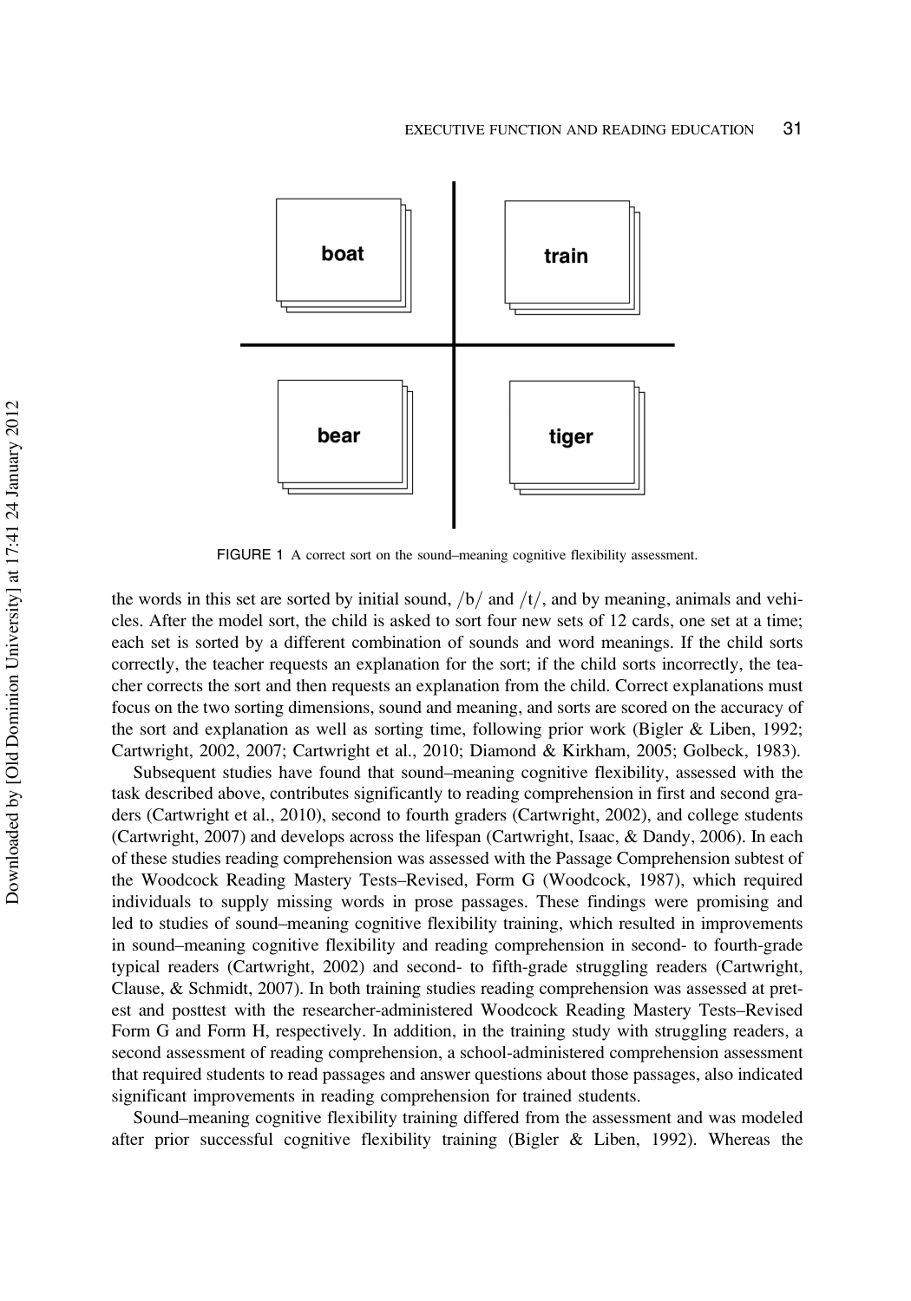

FIGURE 1 A correct sort on the sound–meaning cognitive flexibility assessment.

the words in this set are sorted by initial sound,  $/b/$  and  $/t/$ , and by meaning, animals and vehicles. After the model sort, the child is asked to sort four new sets of 12 cards, one set at a time; each set is sorted by a different combination of sounds and word meanings. If the child sorts correctly, the teacher requests an explanation for the sort; if the child sorts incorrectly, the teacher corrects the sort and then requests an explanation from the child. Correct explanations must focus on the two sorting dimensions, sound and meaning, and sorts are scored on the accuracy of the sort and explanation as well as sorting time, following prior work (Bigler & Liben, 1992; Cartwright, 2002, 2007; Cartwright et al., 2010; Diamond & Kirkham, 2005; Golbeck, 1983).

Subsequent studies have found that sound–meaning cognitive flexibility, assessed with the task described above, contributes significantly to reading comprehension in first and second graders (Cartwright et al., 2010), second to fourth graders (Cartwright, 2002), and college students (Cartwright, 2007) and develops across the lifespan (Cartwright, Isaac, & Dandy, 2006). In each of these studies reading comprehension was assessed with the Passage Comprehension subtest of the Woodcock Reading Mastery Tests–Revised, Form G (Woodcock, 1987), which required individuals to supply missing words in prose passages. These findings were promising and led to studies of sound–meaning cognitive flexibility training, which resulted in improvements in sound–meaning cognitive flexibility and reading comprehension in second- to fourth-grade typical readers (Cartwright, 2002) and second- to fifth-grade struggling readers (Cartwright, Clause, & Schmidt, 2007). In both training studies reading comprehension was assessed at pretest and posttest with the researcher-administered Woodcock Reading Mastery Tests–Revised Form G and Form H, respectively. In addition, in the training study with struggling readers, a second assessment of reading comprehension, a school-administered comprehension assessment that required students to read passages and answer questions about those passages, also indicated significant improvements in reading comprehension for trained students.

Sound–meaning cognitive flexibility training differed from the assessment and was modeled after prior successful cognitive flexibility training (Bigler  $\&$  Liben, 1992). Whereas the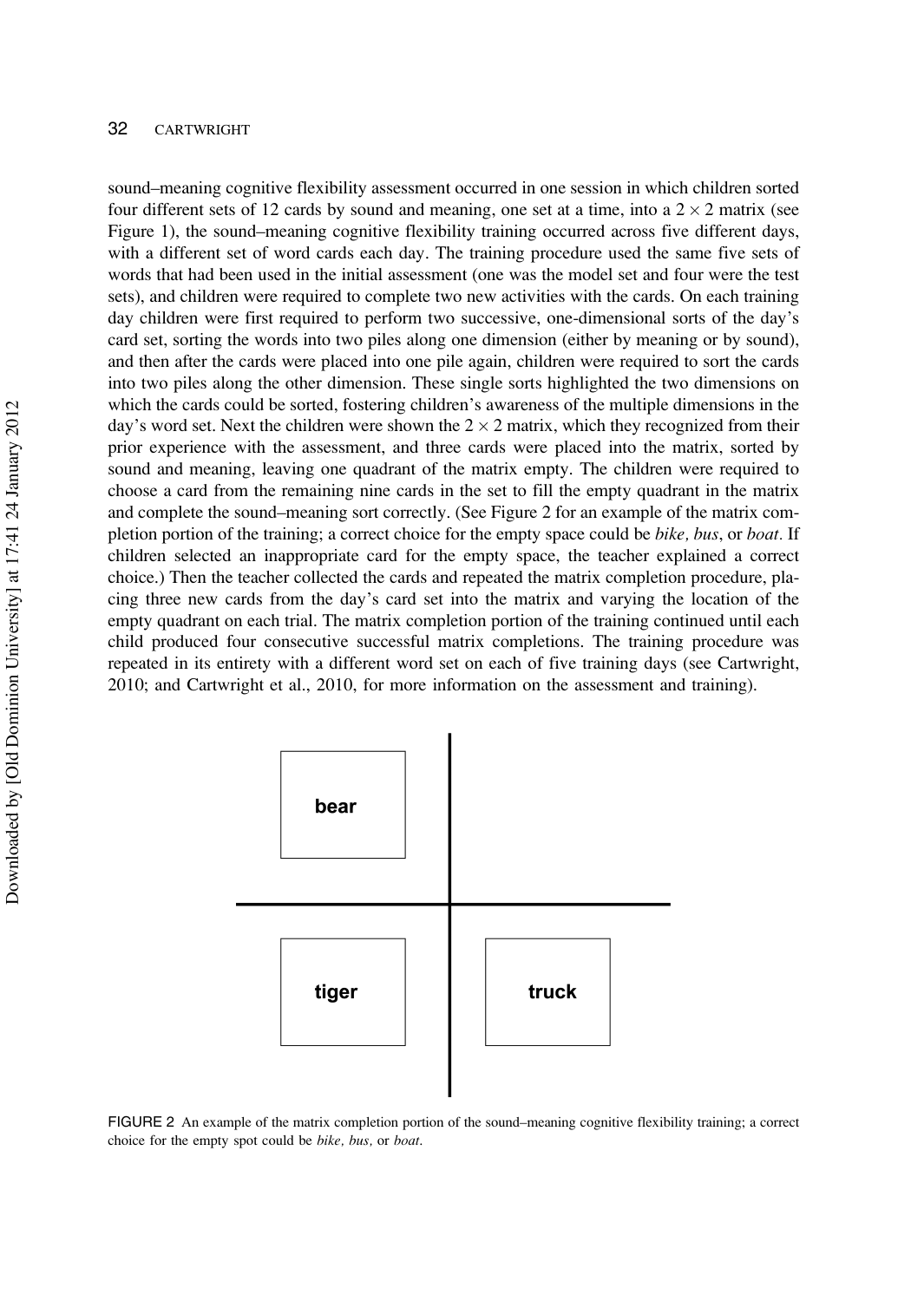sound–meaning cognitive flexibility assessment occurred in one session in which children sorted four different sets of 12 cards by sound and meaning, one set at a time, into a  $2 \times 2$  matrix (see Figure 1), the sound–meaning cognitive flexibility training occurred across five different days, with a different set of word cards each day. The training procedure used the same five sets of words that had been used in the initial assessment (one was the model set and four were the test sets), and children were required to complete two new activities with the cards. On each training day children were first required to perform two successive, one-dimensional sorts of the day's card set, sorting the words into two piles along one dimension (either by meaning or by sound), and then after the cards were placed into one pile again, children were required to sort the cards into two piles along the other dimension. These single sorts highlighted the two dimensions on which the cards could be sorted, fostering children's awareness of the multiple dimensions in the day's word set. Next the children were shown the  $2 \times 2$  matrix, which they recognized from their prior experience with the assessment, and three cards were placed into the matrix, sorted by sound and meaning, leaving one quadrant of the matrix empty. The children were required to choose a card from the remaining nine cards in the set to fill the empty quadrant in the matrix and complete the sound–meaning sort correctly. (See Figure 2 for an example of the matrix completion portion of the training; a correct choice for the empty space could be bike, bus, or boat. If children selected an inappropriate card for the empty space, the teacher explained a correct choice.) Then the teacher collected the cards and repeated the matrix completion procedure, placing three new cards from the day's card set into the matrix and varying the location of the empty quadrant on each trial. The matrix completion portion of the training continued until each child produced four consecutive successful matrix completions. The training procedure was repeated in its entirety with a different word set on each of five training days (see Cartwright, 2010; and Cartwright et al., 2010, for more information on the assessment and training).



FIGURE 2 An example of the matrix completion portion of the sound–meaning cognitive flexibility training; a correct choice for the empty spot could be bike, bus, or boat.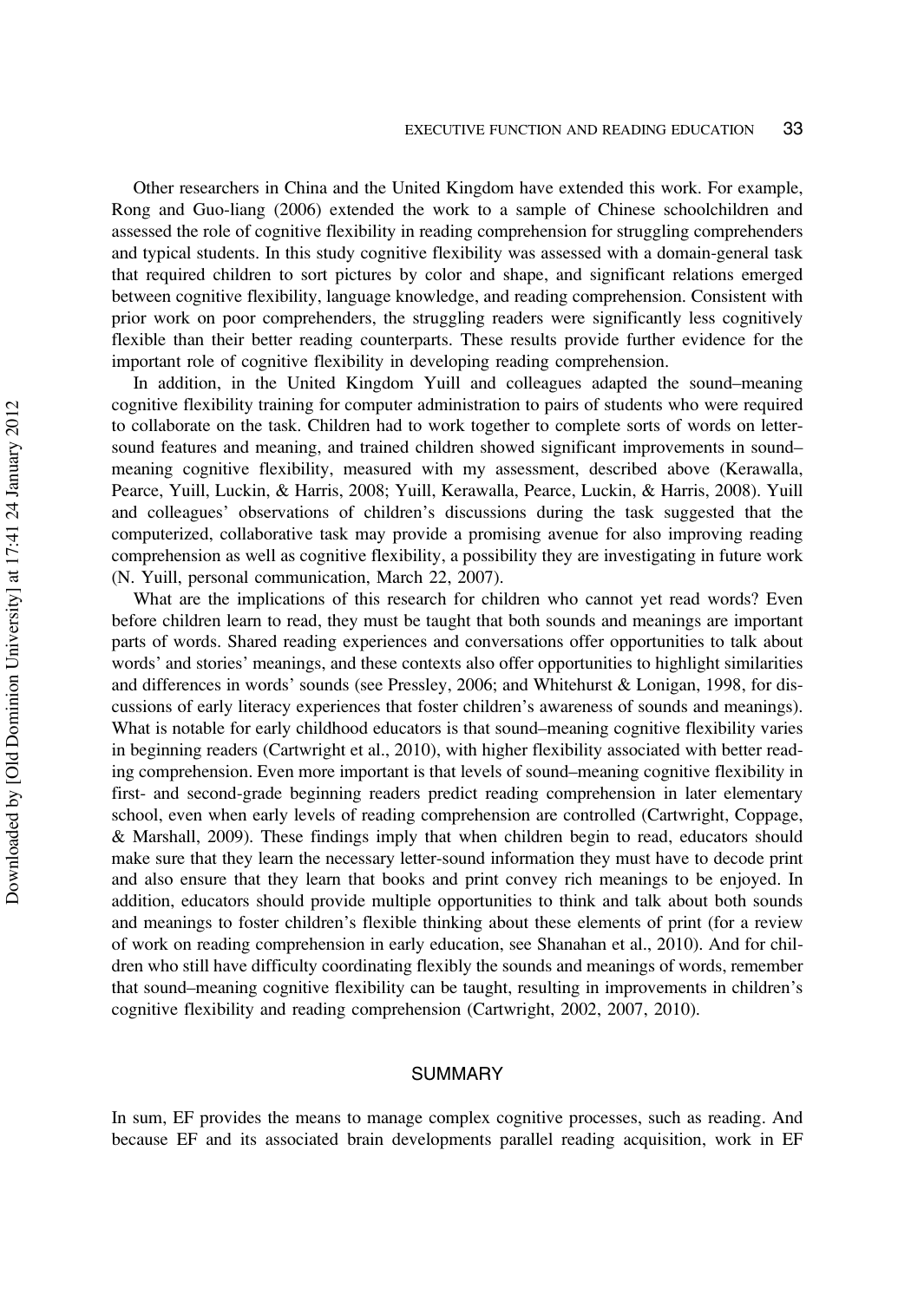Other researchers in China and the United Kingdom have extended this work. For example, Rong and Guo-liang (2006) extended the work to a sample of Chinese schoolchildren and assessed the role of cognitive flexibility in reading comprehension for struggling comprehenders and typical students. In this study cognitive flexibility was assessed with a domain-general task that required children to sort pictures by color and shape, and significant relations emerged between cognitive flexibility, language knowledge, and reading comprehension. Consistent with prior work on poor comprehenders, the struggling readers were significantly less cognitively flexible than their better reading counterparts. These results provide further evidence for the important role of cognitive flexibility in developing reading comprehension.

In addition, in the United Kingdom Yuill and colleagues adapted the sound–meaning cognitive flexibility training for computer administration to pairs of students who were required to collaborate on the task. Children had to work together to complete sorts of words on lettersound features and meaning, and trained children showed significant improvements in sound– meaning cognitive flexibility, measured with my assessment, described above (Kerawalla, Pearce, Yuill, Luckin, & Harris, 2008; Yuill, Kerawalla, Pearce, Luckin, & Harris, 2008). Yuill and colleagues' observations of children's discussions during the task suggested that the computerized, collaborative task may provide a promising avenue for also improving reading comprehension as well as cognitive flexibility, a possibility they are investigating in future work (N. Yuill, personal communication, March 22, 2007).

What are the implications of this research for children who cannot yet read words? Even before children learn to read, they must be taught that both sounds and meanings are important parts of words. Shared reading experiences and conversations offer opportunities to talk about words' and stories' meanings, and these contexts also offer opportunities to highlight similarities and differences in words' sounds (see Pressley, 2006; and Whitehurst & Lonigan, 1998, for discussions of early literacy experiences that foster children's awareness of sounds and meanings). What is notable for early childhood educators is that sound–meaning cognitive flexibility varies in beginning readers (Cartwright et al., 2010), with higher flexibility associated with better reading comprehension. Even more important is that levels of sound–meaning cognitive flexibility in first- and second-grade beginning readers predict reading comprehension in later elementary school, even when early levels of reading comprehension are controlled (Cartwright, Coppage, & Marshall, 2009). These findings imply that when children begin to read, educators should make sure that they learn the necessary letter-sound information they must have to decode print and also ensure that they learn that books and print convey rich meanings to be enjoyed. In addition, educators should provide multiple opportunities to think and talk about both sounds and meanings to foster children's flexible thinking about these elements of print (for a review of work on reading comprehension in early education, see Shanahan et al., 2010). And for children who still have difficulty coordinating flexibly the sounds and meanings of words, remember that sound–meaning cognitive flexibility can be taught, resulting in improvements in children's cognitive flexibility and reading comprehension (Cartwright, 2002, 2007, 2010).

#### SUMMARY

In sum, EF provides the means to manage complex cognitive processes, such as reading. And because EF and its associated brain developments parallel reading acquisition, work in EF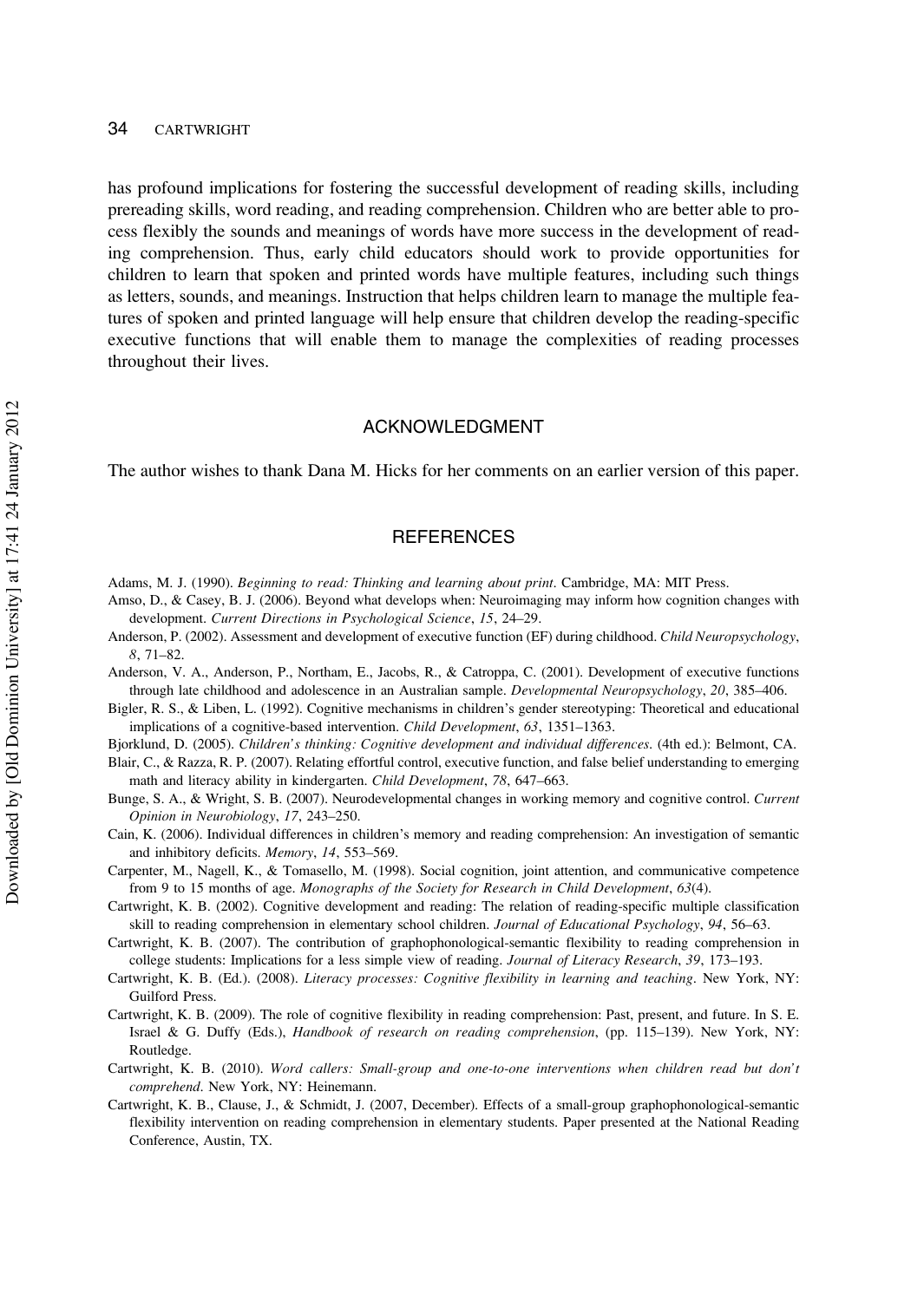#### 34 CARTWRIGHT

has profound implications for fostering the successful development of reading skills, including prereading skills, word reading, and reading comprehension. Children who are better able to process flexibly the sounds and meanings of words have more success in the development of reading comprehension. Thus, early child educators should work to provide opportunities for children to learn that spoken and printed words have multiple features, including such things as letters, sounds, and meanings. Instruction that helps children learn to manage the multiple features of spoken and printed language will help ensure that children develop the reading-specific executive functions that will enable them to manage the complexities of reading processes throughout their lives.

#### ACKNOWLEDGMENT

The author wishes to thank Dana M. Hicks for her comments on an earlier version of this paper.

#### **REFERENCES**

- Adams, M. J. (1990). Beginning to read: Thinking and learning about print. Cambridge, MA: MIT Press.
- Amso, D., & Casey, B. J. (2006). Beyond what develops when: Neuroimaging may inform how cognition changes with development. Current Directions in Psychological Science, 15, 24–29.
- Anderson, P. (2002). Assessment and development of executive function (EF) during childhood. Child Neuropsychology, 8, 71–82.
- Anderson, V. A., Anderson, P., Northam, E., Jacobs, R., & Catroppa, C. (2001). Development of executive functions through late childhood and adolescence in an Australian sample. Developmental Neuropsychology, 20, 385–406.
- Bigler, R. S., & Liben, L. (1992). Cognitive mechanisms in children's gender stereotyping: Theoretical and educational implications of a cognitive-based intervention. Child Development, 63, 1351–1363.
- Bjorklund, D. (2005). Children's thinking: Cognitive development and individual differences. (4th ed.): Belmont, CA.
- Blair, C., & Razza, R. P. (2007). Relating effortful control, executive function, and false belief understanding to emerging math and literacy ability in kindergarten. Child Development, 78, 647–663.
- Bunge, S. A., & Wright, S. B. (2007). Neurodevelopmental changes in working memory and cognitive control. Current Opinion in Neurobiology, 17, 243–250.
- Cain, K. (2006). Individual differences in children's memory and reading comprehension: An investigation of semantic and inhibitory deficits. Memory, 14, 553–569.
- Carpenter, M., Nagell, K., & Tomasello, M. (1998). Social cognition, joint attention, and communicative competence from 9 to 15 months of age. Monographs of the Society for Research in Child Development, 63(4).
- Cartwright, K. B. (2002). Cognitive development and reading: The relation of reading-specific multiple classification skill to reading comprehension in elementary school children. Journal of Educational Psychology, 94, 56–63.
- Cartwright, K. B. (2007). The contribution of graphophonological-semantic flexibility to reading comprehension in college students: Implications for a less simple view of reading. Journal of Literacy Research, 39, 173–193.
- Cartwright, K. B. (Ed.). (2008). Literacy processes: Cognitive flexibility in learning and teaching. New York, NY: Guilford Press.
- Cartwright, K. B. (2009). The role of cognitive flexibility in reading comprehension: Past, present, and future. In S. E. Israel & G. Duffy (Eds.), Handbook of research on reading comprehension, (pp. 115–139). New York, NY: Routledge.
- Cartwright, K. B. (2010). Word callers: Small-group and one-to-one interventions when children read but don't comprehend. New York, NY: Heinemann.
- Cartwright, K. B., Clause, J., & Schmidt, J. (2007, December). Effects of a small-group graphophonological-semantic flexibility intervention on reading comprehension in elementary students. Paper presented at the National Reading Conference, Austin, TX.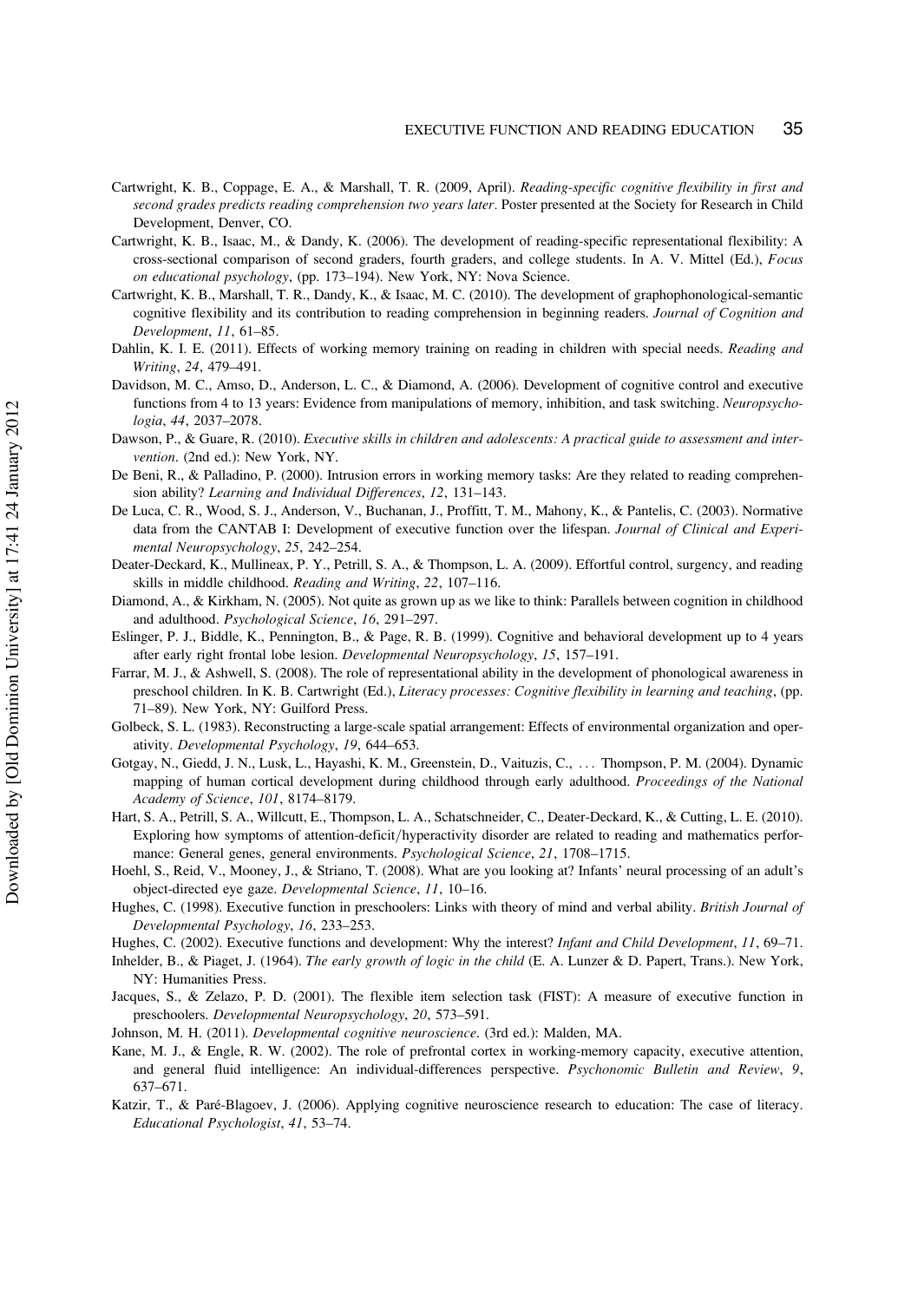- Cartwright, K. B., Coppage, E. A., & Marshall, T. R. (2009, April). Reading-specific cognitive flexibility in first and second grades predicts reading comprehension two years later. Poster presented at the Society for Research in Child Development, Denver, CO.
- Cartwright, K. B., Isaac, M., & Dandy, K. (2006). The development of reading-specific representational flexibility: A cross-sectional comparison of second graders, fourth graders, and college students. In A. V. Mittel (Ed.), Focus on educational psychology, (pp. 173–194). New York, NY: Nova Science.
- Cartwright, K. B., Marshall, T. R., Dandy, K., & Isaac, M. C. (2010). The development of graphophonological-semantic cognitive flexibility and its contribution to reading comprehension in beginning readers. Journal of Cognition and Development, 11, 61–85.
- Dahlin, K. I. E. (2011). Effects of working memory training on reading in children with special needs. Reading and Writing, 24, 479–491.
- Davidson, M. C., Amso, D., Anderson, L. C., & Diamond, A. (2006). Development of cognitive control and executive functions from 4 to 13 years: Evidence from manipulations of memory, inhibition, and task switching. Neuropsychologia, 44, 2037–2078.
- Dawson, P., & Guare, R. (2010). Executive skills in children and adolescents: A practical guide to assessment and intervention. (2nd ed.): New York, NY.
- De Beni, R., & Palladino, P. (2000). Intrusion errors in working memory tasks: Are they related to reading comprehension ability? Learning and Individual Differences, 12, 131–143.
- De Luca, C. R., Wood, S. J., Anderson, V., Buchanan, J., Proffitt, T. M., Mahony, K., & Pantelis, C. (2003). Normative data from the CANTAB I: Development of executive function over the lifespan. Journal of Clinical and Experimental Neuropsychology, 25, 242–254.
- Deater-Deckard, K., Mullineax, P. Y., Petrill, S. A., & Thompson, L. A. (2009). Effortful control, surgency, and reading skills in middle childhood. Reading and Writing, 22, 107–116.
- Diamond, A., & Kirkham, N. (2005). Not quite as grown up as we like to think: Parallels between cognition in childhood and adulthood. Psychological Science, 16, 291–297.
- Eslinger, P. J., Biddle, K., Pennington, B., & Page, R. B. (1999). Cognitive and behavioral development up to 4 years after early right frontal lobe lesion. Developmental Neuropsychology, 15, 157–191.
- Farrar, M. J., & Ashwell, S. (2008). The role of representational ability in the development of phonological awareness in preschool children. In K. B. Cartwright (Ed.), Literacy processes: Cognitive flexibility in learning and teaching, (pp. 71–89). New York, NY: Guilford Press.
- Golbeck, S. L. (1983). Reconstructing a large-scale spatial arrangement: Effects of environmental organization and operativity. Developmental Psychology, 19, 644–653.
- Gotgay, N., Giedd, J. N., Lusk, L., Hayashi, K. M., Greenstein, D., Vaituzis, C., ... Thompson, P. M. (2004). Dynamic mapping of human cortical development during childhood through early adulthood. Proceedings of the National Academy of Science, 101, 8174–8179.
- Hart, S. A., Petrill, S. A., Willcutt, E., Thompson, L. A., Schatschneider, C., Deater-Deckard, K., & Cutting, L. E. (2010). Exploring how symptoms of attention-deficit/hyperactivity disorder are related to reading and mathematics performance: General genes, general environments. Psychological Science, 21, 1708–1715.
- Hoehl, S., Reid, V., Mooney, J., & Striano, T. (2008). What are you looking at? Infants' neural processing of an adult's object-directed eye gaze. Developmental Science, 11, 10–16.
- Hughes, C. (1998). Executive function in preschoolers: Links with theory of mind and verbal ability. British Journal of Developmental Psychology, 16, 233–253.
- Hughes, C. (2002). Executive functions and development: Why the interest? Infant and Child Development, 11, 69-71.
- Inhelder, B., & Piaget, J. (1964). The early growth of logic in the child (E. A. Lunzer & D. Papert, Trans.). New York, NY: Humanities Press.
- Jacques, S., & Zelazo, P. D. (2001). The flexible item selection task (FIST): A measure of executive function in preschoolers. Developmental Neuropsychology, 20, 573–591.
- Johnson, M. H. (2011). Developmental cognitive neuroscience. (3rd ed.): Malden, MA.
- Kane, M. J., & Engle, R. W. (2002). The role of prefrontal cortex in working-memory capacity, executive attention, and general fluid intelligence: An individual-differences perspective. Psychonomic Bulletin and Review, 9, 637–671.
- Katzir, T., & Paré-Blagoev, J. (2006). Applying cognitive neuroscience research to education: The case of literacy. Educational Psychologist, 41, 53–74.